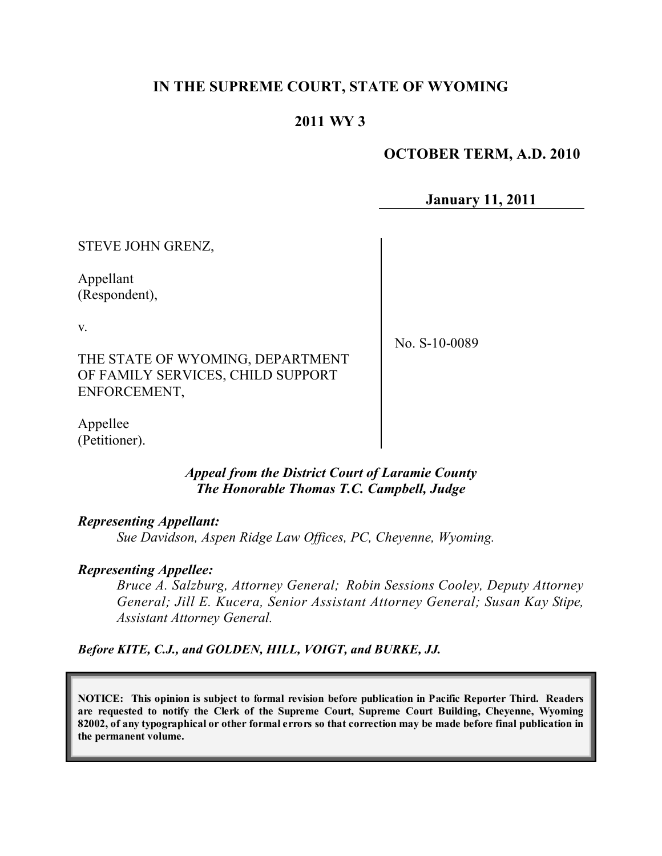# **IN THE SUPREME COURT, STATE OF WYOMING**

## **2011 WY 3**

## **OCTOBER TERM, A.D. 2010**

**January 11, 2011**

STEVE JOHN GRENZ,

Appellant (Respondent),

v.

THE STATE OF WYOMING, DEPARTMENT OF FAMILY SERVICES, CHILD SUPPORT ENFORCEMENT,

No. S-10-0089

Appellee (Petitioner).

## *Appeal from the District Court of Laramie County The Honorable Thomas T.C. Campbell, Judge*

## *Representing Appellant:*

*Sue Davidson, Aspen Ridge Law Offices, PC, Cheyenne, Wyoming.*

## *Representing Appellee:*

*Bruce A. Salzburg, Attorney General; Robin Sessions Cooley, Deputy Attorney General; Jill E. Kucera, Senior Assistant Attorney General; Susan Kay Stipe, Assistant Attorney General.*

*Before KITE, C.J., and GOLDEN, HILL, VOIGT, and BURKE, JJ.*

**NOTICE: This opinion is subject to formal revision before publication in Pacific Reporter Third. Readers are requested to notify the Clerk of the Supreme Court, Supreme Court Building, Cheyenne, Wyoming** 82002, of any typographical or other formal errors so that correction may be made before final publication in **the permanent volume.**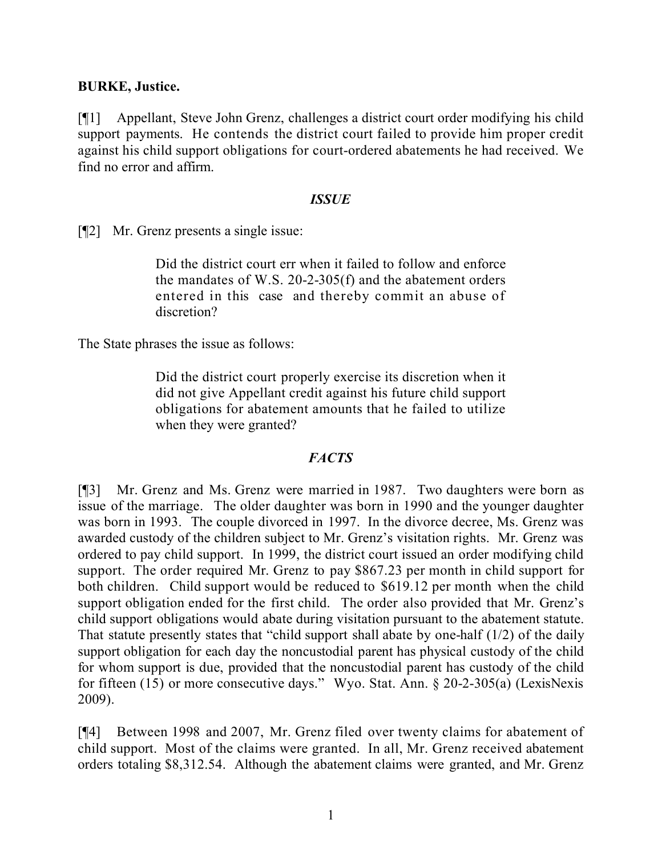## **BURKE, Justice.**

[¶1] Appellant, Steve John Grenz, challenges a district court order modifying his child support payments. He contends the district court failed to provide him proper credit against his child support obligations for court-ordered abatements he had received. We find no error and affirm.

#### *ISSUE*

[¶2] Mr. Grenz presents a single issue:

Did the district court err when it failed to follow and enforce the mandates of W.S. 20-2-305(f) and the abatement orders entered in this case and thereby commit an abuse of discretion?

The State phrases the issue as follows:

Did the district court properly exercise its discretion when it did not give Appellant credit against his future child support obligations for abatement amounts that he failed to utilize when they were granted?

## *FACTS*

[¶3] Mr. Grenz and Ms. Grenz were married in 1987. Two daughters were born as issue of the marriage. The older daughter was born in 1990 and the younger daughter was born in 1993. The couple divorced in 1997. In the divorce decree, Ms. Grenz was awarded custody of the children subject to Mr. Grenz's visitation rights. Mr. Grenz was ordered to pay child support. In 1999, the district court issued an order modifying child support. The order required Mr. Grenz to pay \$867.23 per month in child support for both children. Child support would be reduced to \$619.12 per month when the child support obligation ended for the first child. The order also provided that Mr. Grenz's child support obligations would abate during visitation pursuant to the abatement statute. That statute presently states that "child support shall abate by one-half (1/2) of the daily support obligation for each day the noncustodial parent has physical custody of the child for whom support is due, provided that the noncustodial parent has custody of the child for fifteen (15) or more consecutive days." Wyo. Stat. Ann. § 20-2-305(a) (LexisNexis 2009).

[¶4] Between 1998 and 2007, Mr. Grenz filed over twenty claims for abatement of child support. Most of the claims were granted. In all, Mr. Grenz received abatement orders totaling \$8,312.54. Although the abatement claims were granted, and Mr. Grenz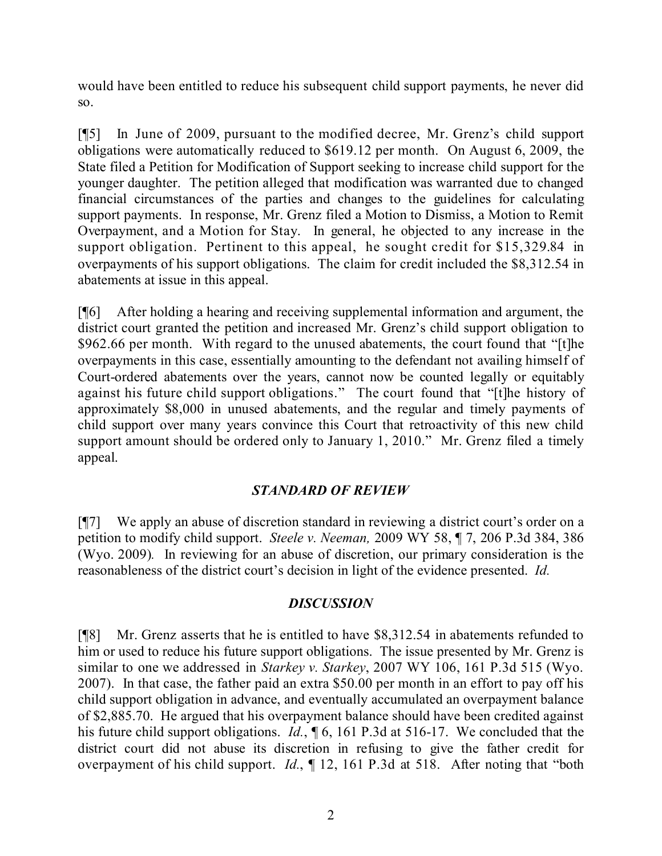would have been entitled to reduce his subsequent child support payments, he never did so.

[¶5] In June of 2009, pursuant to the modified decree, Mr. Grenz's child support obligations were automatically reduced to \$619.12 per month. On August 6, 2009, the State filed a Petition for Modification of Support seeking to increase child support for the younger daughter. The petition alleged that modification was warranted due to changed financial circumstances of the parties and changes to the guidelines for calculating support payments. In response, Mr. Grenz filed a Motion to Dismiss, a Motion to Remit Overpayment, and a Motion for Stay. In general, he objected to any increase in the support obligation. Pertinent to this appeal, he sought credit for \$15,329.84 in overpayments of his support obligations. The claim for credit included the \$8,312.54 in abatements at issue in this appeal.

[¶6] After holding a hearing and receiving supplemental information and argument, the district court granted the petition and increased Mr. Grenz's child support obligation to \$962.66 per month. With regard to the unused abatements, the court found that "[t]he overpayments in this case, essentially amounting to the defendant not availing himself of Court-ordered abatements over the years, cannot now be counted legally or equitably against his future child support obligations." The court found that "[t]he history of approximately \$8,000 in unused abatements, and the regular and timely payments of child support over many years convince this Court that retroactivity of this new child support amount should be ordered only to January 1, 2010." Mr. Grenz filed a timely appeal.

# *STANDARD OF REVIEW*

[¶7] We apply an abuse of discretion standard in reviewing a district court's order on a petition to modify child support. *Steele v. Neeman,* 2009 WY 58, ¶ 7, 206 P.3d 384, 386 (Wyo. 2009)*.* In reviewing for an abuse of discretion, our primary consideration is the reasonableness of the district court's decision in light of the evidence presented. *Id.*

## *DISCUSSION*

[¶8] Mr. Grenz asserts that he is entitled to have \$8,312.54 in abatements refunded to him or used to reduce his future support obligations. The issue presented by Mr. Grenz is similar to one we addressed in *Starkey v. Starkey*, 2007 WY 106, 161 P.3d 515 (Wyo. 2007). In that case, the father paid an extra \$50.00 per month in an effort to pay off his child support obligation in advance, and eventually accumulated an overpayment balance of \$2,885.70. He argued that his overpayment balance should have been credited against his future child support obligations. *Id.*, ¶ 6, 161 P.3d at 516-17. We concluded that the district court did not abuse its discretion in refusing to give the father credit for overpayment of his child support. *Id.*, ¶ 12, 161 P.3d at 518. After noting that "both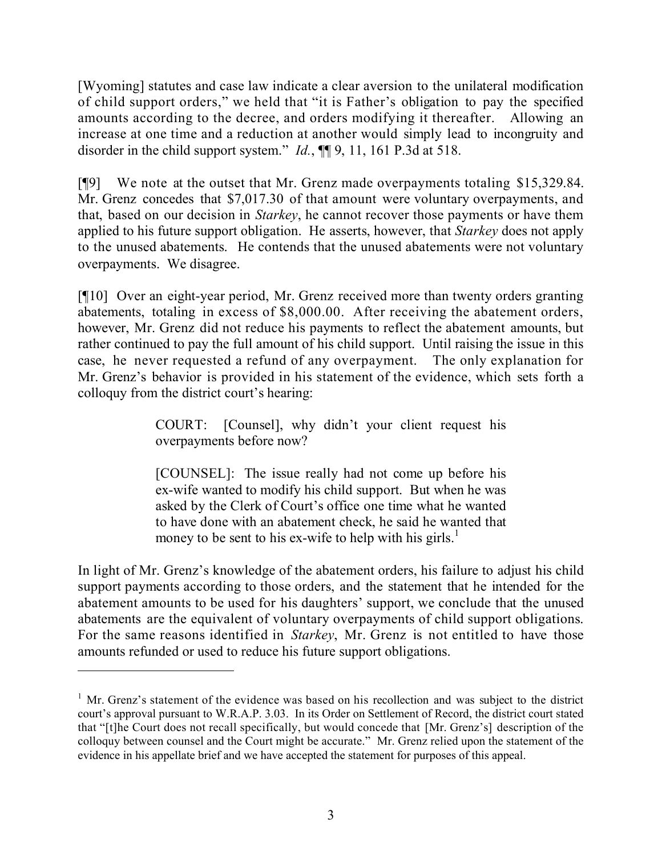[Wyoming] statutes and case law indicate a clear aversion to the unilateral modification of child support orders," we held that "it is Father's obligation to pay the specified amounts according to the decree, and orders modifying it thereafter. Allowing an increase at one time and a reduction at another would simply lead to incongruity and disorder in the child support system." *Id.*, ¶¶ 9, 11, 161 P.3d at 518.

[¶9] We note at the outset that Mr. Grenz made overpayments totaling \$15,329.84. Mr. Grenz concedes that \$7,017.30 of that amount were voluntary overpayments, and that, based on our decision in *Starkey*, he cannot recover those payments or have them applied to his future support obligation. He asserts, however, that *Starkey* does not apply to the unused abatements. He contends that the unused abatements were not voluntary overpayments. We disagree.

[¶10] Over an eight-year period, Mr. Grenz received more than twenty orders granting abatements, totaling in excess of \$8,000.00. After receiving the abatement orders, however, Mr. Grenz did not reduce his payments to reflect the abatement amounts, but rather continued to pay the full amount of his child support. Until raising the issue in this case, he never requested a refund of any overpayment. The only explanation for Mr. Grenz's behavior is provided in his statement of the evidence, which sets forth a colloquy from the district court's hearing:

> COURT: [Counsel], why didn't your client request his overpayments before now?

> [COUNSEL]: The issue really had not come up before his ex-wife wanted to modify his child support. But when he was asked by the Clerk of Court's office one time what he wanted to have done with an abatement check, he said he wanted that money to be sent to his ex-wife to help with his girls.<sup>1</sup>

In light of Mr. Grenz's knowledge of the abatement orders, his failure to adjust his child support payments according to those orders, and the statement that he intended for the abatement amounts to be used for his daughters' support, we conclude that the unused abatements are the equivalent of voluntary overpayments of child support obligations. For the same reasons identified in *Starkey*, Mr. Grenz is not entitled to have those amounts refunded or used to reduce his future support obligations.

 $1$  Mr. Grenz's statement of the evidence was based on his recollection and was subject to the district court's approval pursuant to W.R.A.P. 3.03. In its Order on Settlement of Record, the district court stated that "[t]he Court does not recall specifically, but would concede that [Mr. Grenz's] description of the colloquy between counsel and the Court might be accurate." Mr. Grenz relied upon the statement of the evidence in his appellate brief and we have accepted the statement for purposes of this appeal.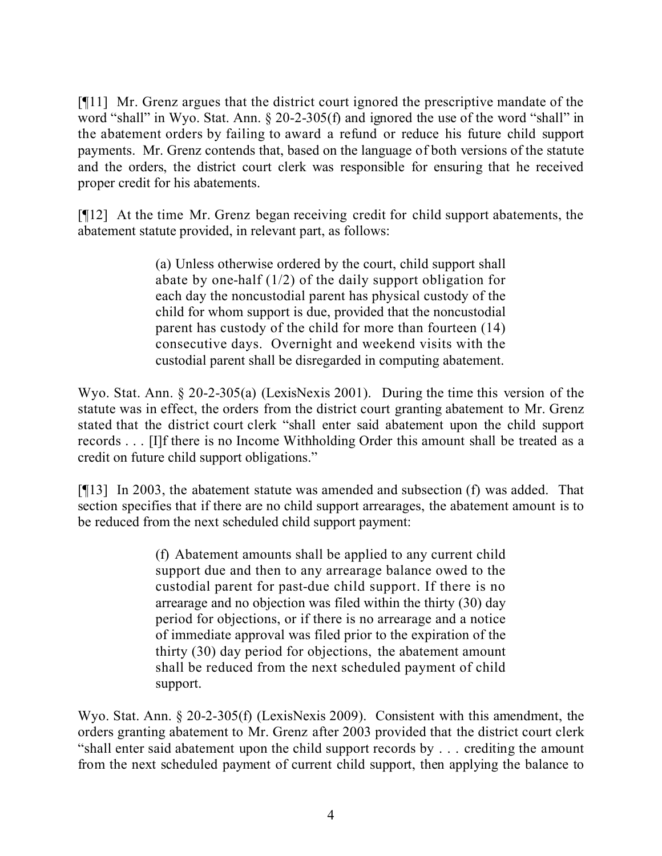[¶11] Mr. Grenz argues that the district court ignored the prescriptive mandate of the word "shall" in Wyo. Stat. Ann. § 20-2-305(f) and ignored the use of the word "shall" in the abatement orders by failing to award a refund or reduce his future child support payments. Mr. Grenz contends that, based on the language of both versions of the statute and the orders, the district court clerk was responsible for ensuring that he received proper credit for his abatements.

[¶12] At the time Mr. Grenz began receiving credit for child support abatements, the abatement statute provided, in relevant part, as follows:

> (a) Unless otherwise ordered by the court, child support shall abate by one-half (1/2) of the daily support obligation for each day the noncustodial parent has physical custody of the child for whom support is due, provided that the noncustodial parent has custody of the child for more than fourteen (14) consecutive days. Overnight and weekend visits with the custodial parent shall be disregarded in computing abatement.

Wyo. Stat. Ann. § 20-2-305(a) (LexisNexis 2001). During the time this version of the statute was in effect, the orders from the district court granting abatement to Mr. Grenz stated that the district court clerk "shall enter said abatement upon the child support records . . . [I]f there is no Income Withholding Order this amount shall be treated as a credit on future child support obligations."

[¶13] In 2003, the abatement statute was amended and subsection (f) was added. That section specifies that if there are no child support arrearages, the abatement amount is to be reduced from the next scheduled child support payment:

> (f) Abatement amounts shall be applied to any current child support due and then to any arrearage balance owed to the custodial parent for past-due child support. If there is no arrearage and no objection was filed within the thirty (30) day period for objections, or if there is no arrearage and a notice of immediate approval was filed prior to the expiration of the thirty (30) day period for objections, the abatement amount shall be reduced from the next scheduled payment of child support.

Wyo. Stat. Ann. § 20-2-305(f) (LexisNexis 2009). Consistent with this amendment, the orders granting abatement to Mr. Grenz after 2003 provided that the district court clerk "shall enter said abatement upon the child support records by . . . crediting the amount from the next scheduled payment of current child support, then applying the balance to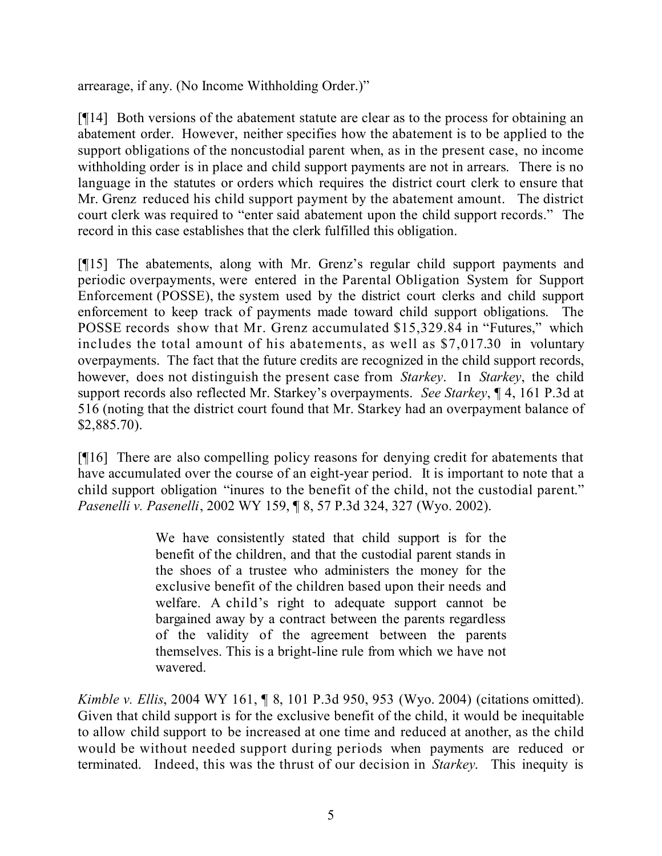arrearage, if any. (No Income Withholding Order.)"

[¶14] Both versions of the abatement statute are clear as to the process for obtaining an abatement order. However, neither specifies how the abatement is to be applied to the support obligations of the noncustodial parent when, as in the present case, no income withholding order is in place and child support payments are not in arrears. There is no language in the statutes or orders which requires the district court clerk to ensure that Mr. Grenz reduced his child support payment by the abatement amount. The district court clerk was required to "enter said abatement upon the child support records." The record in this case establishes that the clerk fulfilled this obligation.

[¶15] The abatements, along with Mr. Grenz's regular child support payments and periodic overpayments, were entered in the Parental Obligation System for Support Enforcement (POSSE), the system used by the district court clerks and child support enforcement to keep track of payments made toward child support obligations. The POSSE records show that Mr. Grenz accumulated \$15,329.84 in "Futures," which includes the total amount of his abatements, as well as \$7,017.30 in voluntary overpayments. The fact that the future credits are recognized in the child support records, however, does not distinguish the present case from *Starkey*. In *Starkey*, the child support records also reflected Mr. Starkey's overpayments. *See Starkey*, ¶ 4, 161 P.3d at 516 (noting that the district court found that Mr. Starkey had an overpayment balance of \$2,885.70).

[¶16] There are also compelling policy reasons for denying credit for abatements that have accumulated over the course of an eight-year period. It is important to note that a child support obligation "inures to the benefit of the child, not the custodial parent." *Pasenelli v. Pasenelli*, 2002 WY 159, ¶ 8, 57 P.3d 324, 327 (Wyo. 2002).

> We have consistently stated that child support is for the benefit of the children, and that the custodial parent stands in the shoes of a trustee who administers the money for the exclusive benefit of the children based upon their needs and welfare. A child's right to adequate support cannot be bargained away by a contract between the parents regardless of the validity of the agreement between the parents themselves. This is a bright-line rule from which we have not wavered.

*Kimble v. Ellis*, 2004 WY 161, ¶ 8, 101 P.3d 950, 953 (Wyo. 2004) (citations omitted). Given that child support is for the exclusive benefit of the child, it would be inequitable to allow child support to be increased at one time and reduced at another, as the child would be without needed support during periods when payments are reduced or terminated. Indeed, this was the thrust of our decision in *Starkey*. This inequity is